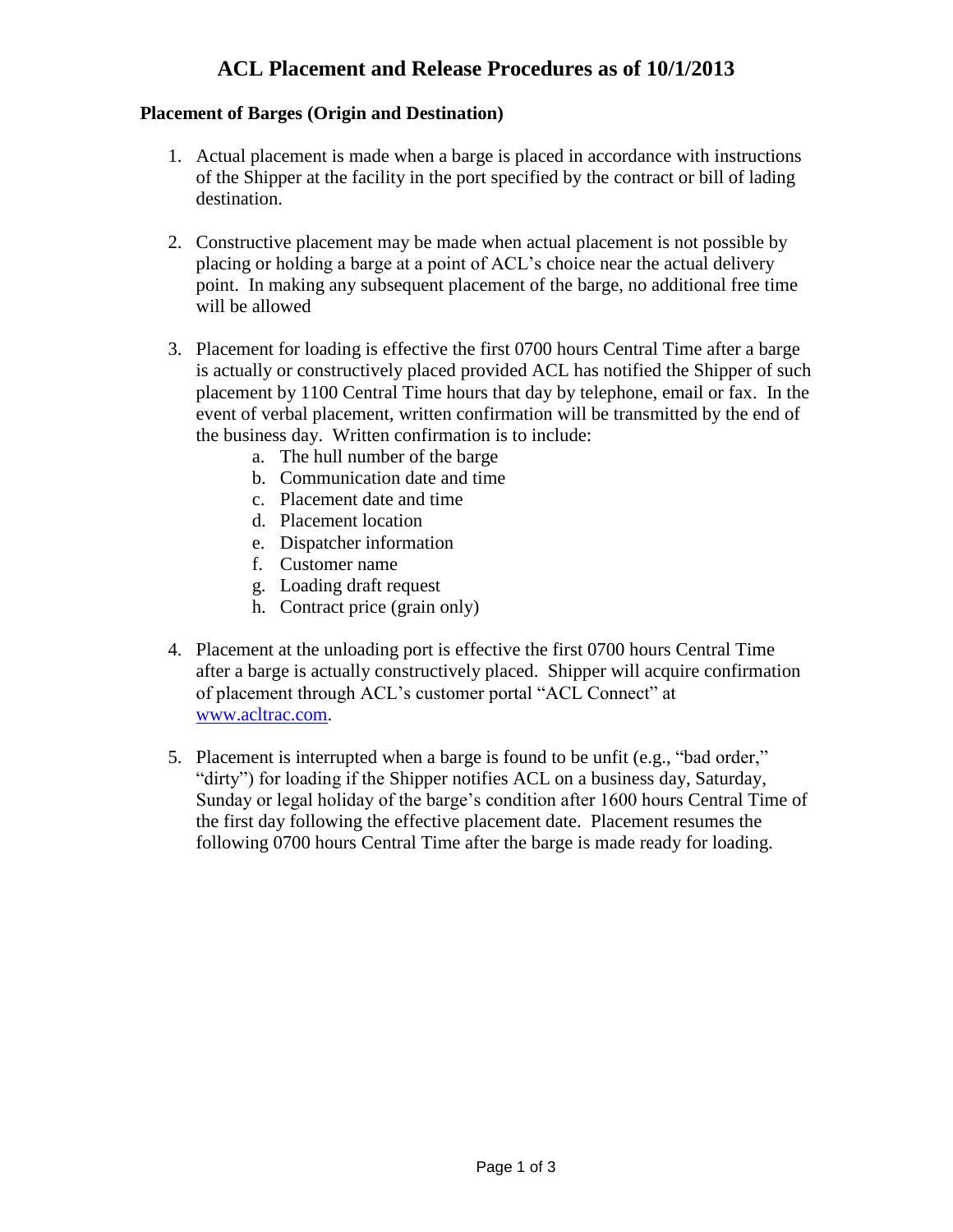## **ACL Placement and Release Procedures as of 10/1/2013**

## **Placement of Barges (Origin and Destination)**

- 1. Actual placement is made when a barge is placed in accordance with instructions of the Shipper at the facility in the port specified by the contract or bill of lading destination.
- 2. Constructive placement may be made when actual placement is not possible by placing or holding a barge at a point of ACL's choice near the actual delivery point. In making any subsequent placement of the barge, no additional free time will be allowed
- 3. Placement for loading is effective the first 0700 hours Central Time after a barge is actually or constructively placed provided ACL has notified the Shipper of such placement by 1100 Central Time hours that day by telephone, email or fax. In the event of verbal placement, written confirmation will be transmitted by the end of the business day. Written confirmation is to include:
	- a. The hull number of the barge
	- b. Communication date and time
	- c. Placement date and time
	- d. Placement location
	- e. Dispatcher information
	- f. Customer name
	- g. Loading draft request
	- h. Contract price (grain only)
- 4. Placement at the unloading port is effective the first 0700 hours Central Time after a barge is actually constructively placed. Shipper will acquire confirmation of placement through ACL's customer portal "ACL Connect" at [www.acltrac.com.](http://www.acltrac.com/)
- 5. Placement is interrupted when a barge is found to be unfit (e.g., "bad order," "dirty") for loading if the Shipper notifies ACL on a business day, Saturday, Sunday or legal holiday of the barge's condition after 1600 hours Central Time of the first day following the effective placement date. Placement resumes the following 0700 hours Central Time after the barge is made ready for loading.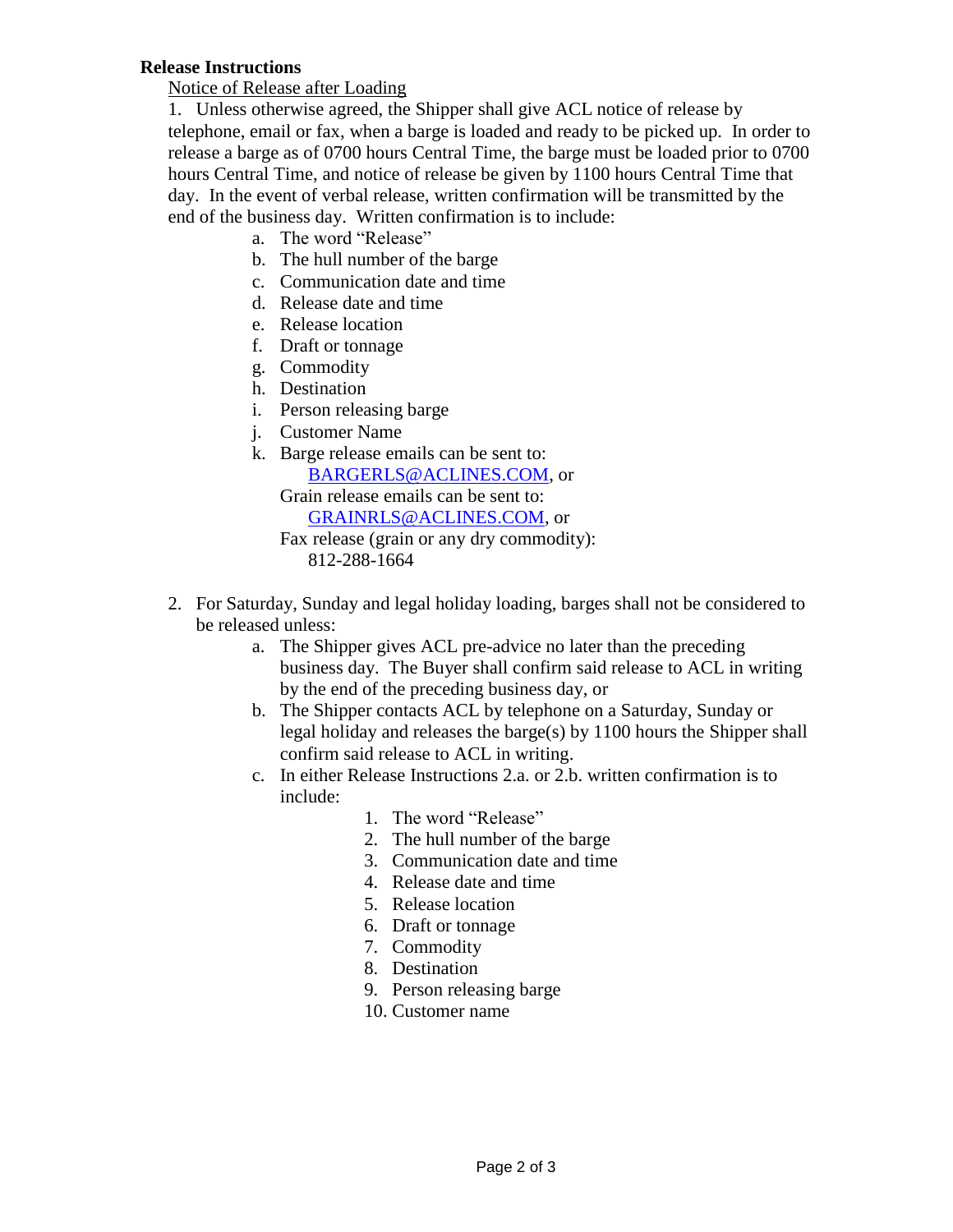## **Release Instructions**

Notice of Release after Loading

1. Unless otherwise agreed, the Shipper shall give ACL notice of release by telephone, email or fax, when a barge is loaded and ready to be picked up. In order to release a barge as of 0700 hours Central Time, the barge must be loaded prior to 0700 hours Central Time, and notice of release be given by 1100 hours Central Time that day. In the event of verbal release, written confirmation will be transmitted by the end of the business day. Written confirmation is to include:

- a. The word "Release"
- b. The hull number of the barge
- c. Communication date and time
- d. Release date and time
- e. Release location
- f. Draft or tonnage
- g. Commodity
- h. Destination
- i. Person releasing barge
- j. Customer Name
- k. Barge release emails can be sent to: [BARGERLS@ACLINES.COM,](mailto:BARGERLS@ACLINES.COM) or Grain release emails can be sent to: [GRAINRLS@ACLINES.COM,](mailto:GRAINRLS@ACLINES.COM) or

Fax release (grain or any dry commodity): 812-288-1664

- 2. For Saturday, Sunday and legal holiday loading, barges shall not be considered to be released unless:
	- a. The Shipper gives ACL pre-advice no later than the preceding business day. The Buyer shall confirm said release to ACL in writing by the end of the preceding business day, or
	- b. The Shipper contacts ACL by telephone on a Saturday, Sunday or legal holiday and releases the barge(s) by 1100 hours the Shipper shall confirm said release to ACL in writing.
	- c. In either Release Instructions 2.a. or 2.b. written confirmation is to include:
		- 1. The word "Release"
		- 2. The hull number of the barge
		- 3. Communication date and time
		- 4. Release date and time
		- 5. Release location
		- 6. Draft or tonnage
		- 7. Commodity
		- 8. Destination
		- 9. Person releasing barge
		- 10. Customer name